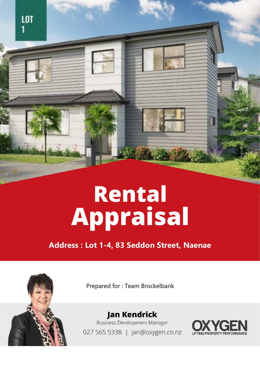

# Rental Appraisal

**Address : Lot 1-4, 83 Seddon Street, Naenae**



Prepared for : Team Brockelbank

**Jan Kendrick Business Development Manager** 027 565 5338 | jan@oxygen.co.nz

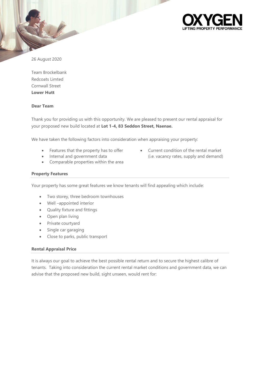

26 August 2020

Team Brockelbank Redcoats Limted Cornwall Street **Lower Hutt**

# **Dear Team**

Thank you for providing us with this opportunity. We are pleased to present our rental appraisal for your proposed new build located at **Lot 1-4, 83 Seddon Street, Naenae.**

We have taken the following factors into consideration when appraising your property:

- Features that the property has to offer
- Internal and government data
- Comparable properties within the area
- **Property Features**

Your property has some great features we know tenants will find appealing which include:

- Two storey, three bedroom townhouses
- Well –appointed interior
- Quality fixture and fittings
- Open plan living
- Private courtyard
- Single car garaging
- Close to parks, public transport

### **Rental Appraisal Price**

It is always our goal to achieve the best possible rental return and to secure the highest calibre of tenants. Taking into consideration the current rental market conditions and government data, we can advise that the proposed new build, sight unseen, would rent for:

• Current condition of the rental market (i.e. vacancy rates, supply and demand)